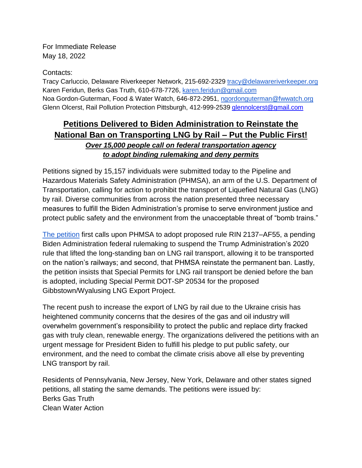For Immediate Release May 18, 2022

Contacts:

Tracy Carluccio, Delaware Riverkeeper Network, 215-692-2329 [tracy@delawareriverkeeper.org](mailto:tracy@delawareriverkeeper.org) Karen Feridun, Berks Gas Truth, 610-678-7726, [karen.feridun@gmail.com](mailto:karen.feridun@gmail.com)  Noa Gordon-Guterman, Food & Water Watch, 646-872-2951, [ngordonguterman@fwwatch.org](mailto:ngordonguterman@fwwatch.org) Glenn Olcerst, Rail Pollution Protection Pittsburgh, 412-999-2539 [glennolcerst@gmail.com](mailto:glennolcerst@gmail.com)

## **Petitions Delivered to Biden Administration to Reinstate the National Ban on Transporting LNG by Rail – Put the Public First!** *Over 15,000 people call on federal transportation agency to adopt binding rulemaking and deny permits*

Petitions signed by 15,157 individuals were submitted today to the Pipeline and Hazardous Materials Safety Administration (PHMSA), an arm of the U.S. Department of Transportation, calling for action to prohibit the transport of Liquefied Natural Gas (LNG) by rail. Diverse communities from across the nation presented three necessary measures to fulfill the Biden Administration's promise to serve environment justice and protect public safety and the environment from the unacceptable threat of "bomb trains."

[The petition](https://actionnetwork.org/petitions/stop-lng-by-rail) first calls upon PHMSA to adopt proposed rule RIN 2137–AF55, a pending Biden Administration federal rulemaking to suspend the Trump Administration's 2020 rule that lifted the long-standing ban on LNG rail transport, allowing it to be transported on the nation's railways; and second, that PHMSA reinstate the permanent ban. Lastly, the petition insists that Special Permits for LNG rail transport be denied before the ban is adopted, including Special Permit DOT-SP 20534 for the proposed Gibbstown/Wyalusing LNG Export Project.

The recent push to increase the export of LNG by rail due to the Ukraine crisis has heightened community concerns that the desires of the gas and oil industry will overwhelm government's responsibility to protect the public and replace dirty fracked gas with truly clean, renewable energy. The organizations delivered the petitions with an urgent message for President Biden to fulfill his pledge to put public safety, our environment, and the need to combat the climate crisis above all else by preventing LNG transport by rail.

Residents of Pennsylvania, New Jersey, New York, Delaware and other states signed petitions, all stating the same demands. The petitions were issued by: Berks Gas Truth Clean Water Action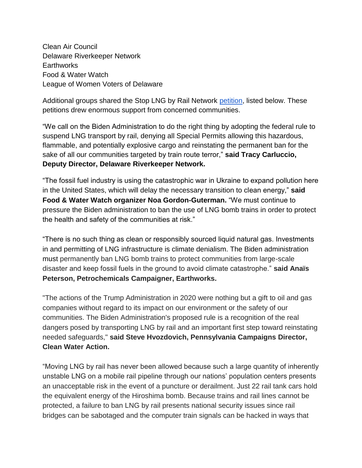Clean Air Council Delaware Riverkeeper Network **Earthworks** Food & Water Watch League of Women Voters of Delaware

Additional groups shared the Stop LNG by Rail Network [petition,](https://actionnetwork.org/petitions/stop-lng-by-rail) listed below. These petitions drew enormous support from concerned communities.

"We call on the Biden Administration to do the right thing by adopting the federal rule to suspend LNG transport by rail, denying all Special Permits allowing this hazardous, flammable, and potentially explosive cargo and reinstating the permanent ban for the sake of all our communities targeted by train route terror," **said Tracy Carluccio, Deputy Director, Delaware Riverkeeper Network.**

"The fossil fuel industry is using the catastrophic war in Ukraine to expand pollution here in the United States, which will delay the necessary transition to clean energy," **said Food & Water Watch organizer Noa Gordon-Guterman.** "We must continue to pressure the Biden administration to ban the use of LNG bomb trains in order to protect the health and safety of the communities at risk."

"There is no such thing as clean or responsibly sourced liquid natural gas. Investments in and permitting of LNG infrastructure is climate denialism. The Biden administration must permanently ban LNG bomb trains to protect communities from large-scale disaster and keep fossil fuels in the ground to avoid climate catastrophe." **said Anaïs Peterson, Petrochemicals Campaigner, Earthworks.**

"The actions of the Trump Administration in 2020 were nothing but a gift to oil and gas companies without regard to its impact on our environment or the safety of our communities. The Biden Administration's proposed rule is a recognition of the real dangers posed by transporting LNG by rail and an important first step toward reinstating needed safeguards," **said Steve Hvozdovich, Pennsylvania Campaigns Director, Clean Water Action.**

"Moving LNG by rail has never been allowed because such a large quantity of inherently unstable LNG on a mobile rail pipeline through our nations' population centers presents an unacceptable risk in the event of a puncture or derailment. Just 22 rail tank cars hold the equivalent energy of the Hiroshima bomb. Because trains and rail lines cannot be protected, a failure to ban LNG by rail presents national security issues since rail bridges can be sabotaged and the computer train signals can be hacked in ways that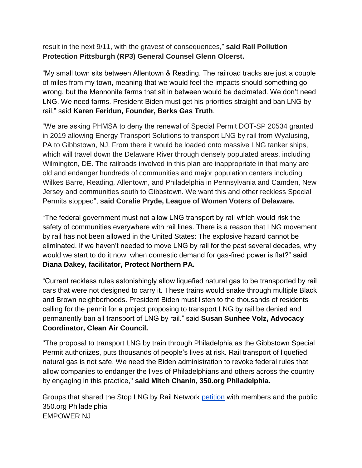result in the next 9/11, with the gravest of consequences," **said Rail Pollution Protection Pittsburgh (RP3) General Counsel Glenn Olcerst.**

"My small town sits between Allentown & Reading. The railroad tracks are just a couple of miles from my town, meaning that we would feel the impacts should something go wrong, but the Mennonite farms that sit in between would be decimated. We don't need LNG. We need farms. President Biden must get his priorities straight and ban LNG by rail," said **Karen Feridun, Founder, Berks Gas Truth**.

"We are asking PHMSA to deny the renewal of Special Permit DOT-SP 20534 granted in 2019 allowing Energy Transport Solutions to transport LNG by rail from Wyalusing, PA to Gibbstown, NJ. From there it would be loaded onto massive LNG tanker ships, which will travel down the Delaware River through densely populated areas, including Wilmington, DE. The railroads involved in this plan are inappropriate in that many are old and endanger hundreds of communities and major population centers including Wilkes Barre, Reading, Allentown, and Philadelphia in Pennsylvania and Camden, New Jersey and communities south to Gibbstown. We want this and other reckless Special Permits stopped", **said Coralie Pryde, League of Women Voters of Delaware.**

"The federal government must not allow LNG transport by rail which would risk the safety of communities everywhere with rail lines. There is a reason that LNG movement by rail has not been allowed in the United States: The explosive hazard cannot be eliminated. If we haven't needed to move LNG by rail for the past several decades, why would we start to do it now, when domestic demand for gas-fired power is flat?" **said Diana Dakey, facilitator, Protect Northern PA.**

"Current reckless rules astonishingly allow liquefied natural gas to be transported by rail cars that were not designed to carry it. These trains would snake through multiple Black and Brown neighborhoods. President Biden must listen to the thousands of residents calling for the permit for a project proposing to transport LNG by rail be denied and permanently ban all transport of LNG by rail." said **Susan Sunhee Volz, Advocacy Coordinator, Clean Air Council.**

"The proposal to transport LNG by train through Philadelphia as the Gibbstown Special Permit authoriizes, puts thousands of people's lives at risk. Rail transport of liquefied natural gas is not safe. We need the Biden administration to revoke federal rules that allow companies to endanger the lives of Philadelphians and others across the country by engaging in this practice," **said Mitch Chanin, 350.org Philadelphia.**

Groups that shared the Stop LNG by Rail Network [petition](https://actionnetwork.org/petitions/stop-lng-by-rail) with members and the public: 350.org Philadelphia EMPOWER NJ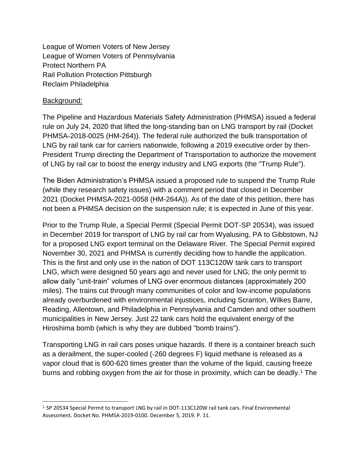League of Women Voters of New Jersey League of Women Voters of Pennsylvania Protect Northern PA Rail Pollution Protection Pittsburgh Reclaim Philadelphia

## Background:

The Pipeline and Hazardous Materials Safety Administration (PHMSA) issued a federal rule on July 24, 2020 that lifted the long-standing ban on LNG transport by rail (Docket PHMSA-2018-0025 (HM-264)). The federal rule authorized the bulk transportation of LNG by rail tank car for carriers nationwide, following a 2019 executive order by then-President Trump directing the Department of Transportation to authorize the movement of LNG by rail car to boost the energy industry and LNG exports (the "Trump Rule").

The Biden Administration's PHMSA issued a proposed rule to suspend the Trump Rule (while they research safety issues) with a comment period that closed in December 2021 (Docket PHMSA-2021-0058 (HM-264A)). As of the date of this petition, there has not been a PHMSA decision on the suspension rule; it is expected in June of this year.

Prior to the Trump Rule, a Special Permit (Special Permit DOT-SP 20534), was issued in December 2019 for transport of LNG by rail car from Wyalusing, PA to Gibbstown, NJ for a proposed LNG export terminal on the Delaware River. The Special Permit expired November 30, 2021 and PHMSA is currently deciding how to handle the application. This is the first and only use in the nation of DOT 113C120W tank cars to transport LNG, which were designed 50 years ago and never used for LNG; the only permit to allow daily "unit-train" volumes of LNG over enormous distances (approximately 200 miles). The trains cut through many communities of color and low-income populations already overburdened with environmental injustices, including Scranton, Wilkes Barre, Reading, Allentown, and Philadelphia in Pennsylvania and Camden and other southern municipalities in New Jersey. Just 22 tank cars hold the equivalent energy of the Hiroshima bomb (which is why they are dubbed "bomb trains").

Transporting LNG in rail cars poses unique hazards. If there is a container breach such as a derailment, the super-cooled (-260 degrees F) liquid methane is released as a vapor cloud that is 600-620 times greater than the volume of the liquid, causing freeze burns and robbing oxygen from the air for those in proximity, which can be deadly.<sup>1</sup> The

<sup>1</sup> SP 20534 Special Permit to transport LNG by rail in DOT-113C120W rail tank cars. Final Environmental Assessment. Docket No. PHMSA-2019-0100. December 5, 2019. P. 11.